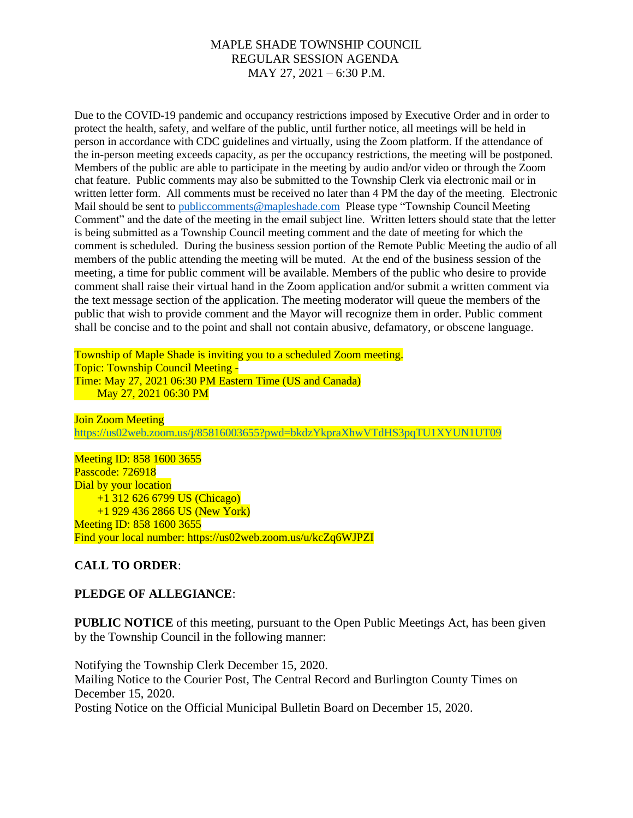Due to the COVID-19 pandemic and occupancy restrictions imposed by Executive Order and in order to protect the health, safety, and welfare of the public, until further notice, all meetings will be held in person in accordance with CDC guidelines and virtually, using the Zoom platform. If the attendance of the in-person meeting exceeds capacity, as per the occupancy restrictions, the meeting will be postponed. Members of the public are able to participate in the meeting by audio and/or video or through the Zoom chat feature. Public comments may also be submitted to the Township Clerk via electronic mail or in written letter form. All comments must be received no later than 4 PM the day of the meeting. Electronic Mail should be sent to [publiccomments@mapleshade.com](mailto:publiccomments@mapleshade.com) Please type "Township Council Meeting Comment" and the date of the meeting in the email subject line. Written letters should state that the letter is being submitted as a Township Council meeting comment and the date of meeting for which the comment is scheduled. During the business session portion of the Remote Public Meeting the audio of all members of the public attending the meeting will be muted. At the end of the business session of the meeting, a time for public comment will be available. Members of the public who desire to provide comment shall raise their virtual hand in the Zoom application and/or submit a written comment via the text message section of the application. The meeting moderator will queue the members of the public that wish to provide comment and the Mayor will recognize them in order. Public comment shall be concise and to the point and shall not contain abusive, defamatory, or obscene language.

Township of Maple Shade is inviting you to a scheduled Zoom meeting. Topic: Township Council Meeting - Time: May 27, 2021 06:30 PM Eastern Time (US and Canada) May 27, 2021 06:30 PM

Join Zoom Meeting <https://us02web.zoom.us/j/85816003655?pwd=bkdzYkpraXhwVTdHS3pqTU1XYUN1UT09>

Meeting ID: 858 1600 3655 Passcode: 726918 Dial by your location +1 312 626 6799 US (Chicago) +1 929 436 2866 US (New York) Meeting ID: 858 1600 3655 Find your local number: https://us02web.zoom.us/u/kcZq6WJPZI

# **CALL TO ORDER**:

# **PLEDGE OF ALLEGIANCE**:

**PUBLIC NOTICE** of this meeting, pursuant to the Open Public Meetings Act, has been given by the Township Council in the following manner:

Notifying the Township Clerk December 15, 2020. Mailing Notice to the Courier Post, The Central Record and Burlington County Times on December 15, 2020. Posting Notice on the Official Municipal Bulletin Board on December 15, 2020.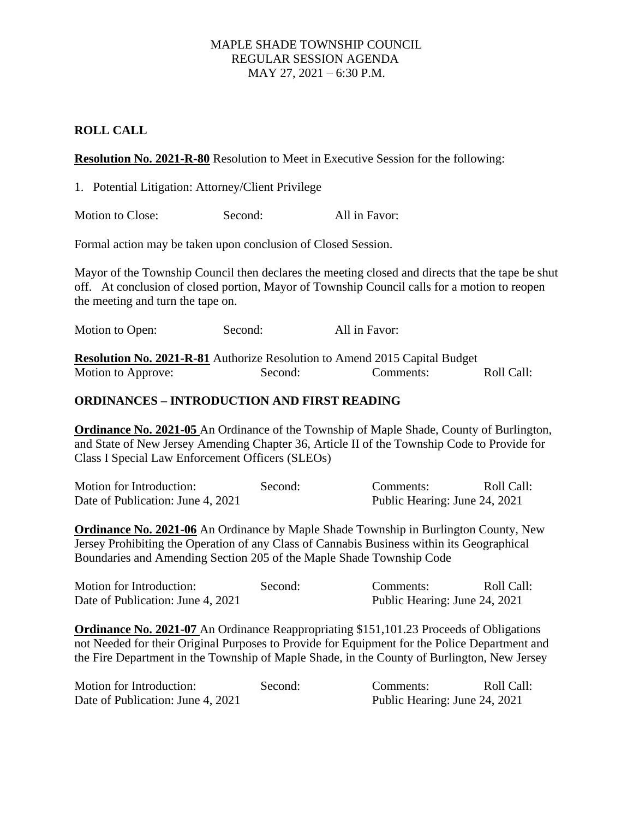## **ROLL CALL**

**Resolution No. 2021-R-80** Resolution to Meet in Executive Session for the following:

1. Potential Litigation: Attorney/Client Privilege

Motion to Close: Second: All in Favor:

Formal action may be taken upon conclusion of Closed Session.

Mayor of the Township Council then declares the meeting closed and directs that the tape be shut off. At conclusion of closed portion, Mayor of Township Council calls for a motion to reopen the meeting and turn the tape on.

Motion to Open: Second: All in Favor:

**Resolution No. 2021-R-81** Authorize Resolution to Amend 2015 Capital Budget Motion to Approve: Second: Comments: Roll Call:

## **ORDINANCES – INTRODUCTION AND FIRST READING**

**Ordinance No. 2021-05** An Ordinance of the Township of Maple Shade, County of Burlington, and State of New Jersey Amending Chapter 36, Article II of the Township Code to Provide for Class I Special Law Enforcement Officers (SLEOs)

| Motion for Introduction:          | Second: | Comments:                     | Roll Call: |
|-----------------------------------|---------|-------------------------------|------------|
| Date of Publication: June 4, 2021 |         | Public Hearing: June 24, 2021 |            |

**Ordinance No. 2021-06** An Ordinance by Maple Shade Township in Burlington County, New Jersey Prohibiting the Operation of any Class of Cannabis Business within its Geographical Boundaries and Amending Section 205 of the Maple Shade Township Code

| Motion for Introduction:          | Second: | Comments:                     | Roll Call: |
|-----------------------------------|---------|-------------------------------|------------|
| Date of Publication: June 4, 2021 |         | Public Hearing: June 24, 2021 |            |

**Ordinance No. 2021-07** An Ordinance Reappropriating \$151,101.23 Proceeds of Obligations not Needed for their Original Purposes to Provide for Equipment for the Police Department and the Fire Department in the Township of Maple Shade, in the County of Burlington, New Jersey

| Motion for Introduction:          | Second: | Comments:                     | Roll Call: |
|-----------------------------------|---------|-------------------------------|------------|
| Date of Publication: June 4, 2021 |         | Public Hearing: June 24, 2021 |            |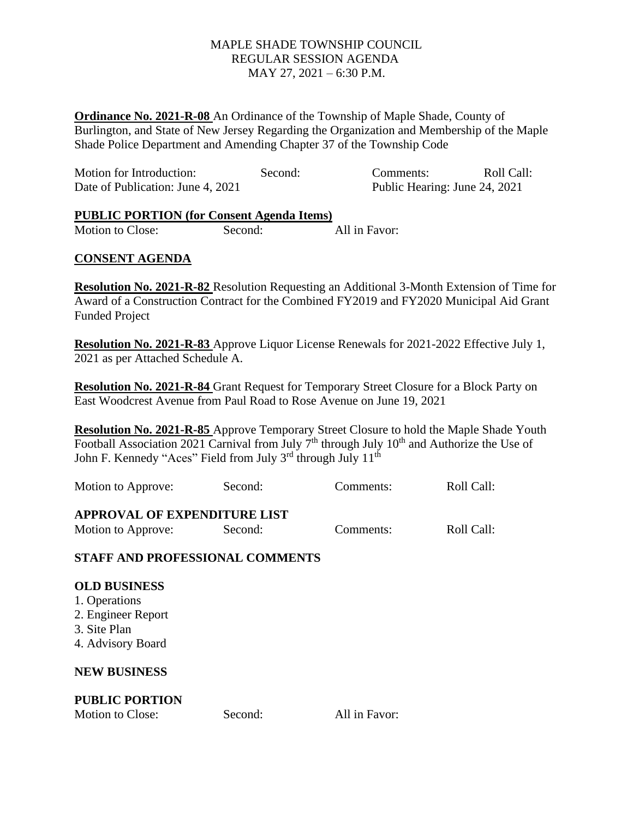**Ordinance No. 2021-R-08** An Ordinance of the Township of Maple Shade, County of Burlington, and State of New Jersey Regarding the Organization and Membership of the Maple Shade Police Department and Amending Chapter 37 of the Township Code

| Motion for Introduction:          | Second: | Comments:                     | Roll Call: |
|-----------------------------------|---------|-------------------------------|------------|
| Date of Publication: June 4, 2021 |         | Public Hearing: June 24, 2021 |            |

#### **PUBLIC PORTION (for Consent Agenda Items)**

Motion to Close: Second: All in Favor:

# **CONSENT AGENDA**

**Resolution No. 2021-R-82** Resolution Requesting an Additional 3-Month Extension of Time for Award of a Construction Contract for the Combined FY2019 and FY2020 Municipal Aid Grant Funded Project

**Resolution No. 2021-R-83** Approve Liquor License Renewals for 2021-2022 Effective July 1, 2021 as per Attached Schedule A.

**Resolution No. 2021-R-84** Grant Request for Temporary Street Closure for a Block Party on East Woodcrest Avenue from Paul Road to Rose Avenue on June 19, 2021

**Resolution No. 2021-R-85** Approve Temporary Street Closure to hold the Maple Shade Youth Football Association 2021 Carnival from July  $7<sup>th</sup>$  through July  $10<sup>th</sup>$  and Authorize the Use of John F. Kennedy "Aces" Field from July 3<sup>rd</sup> through July 11<sup>th</sup>

| Motion to Approve:                                        | Second: | Comments: | Roll Call: |
|-----------------------------------------------------------|---------|-----------|------------|
| <b>APPROVAL OF EXPENDITURE LIST</b><br>Motion to Approve: | Second: | Comments: | Roll Call: |

# **STAFF AND PROFESSIONAL COMMENTS**

#### **OLD BUSINESS**

- 1. Operations
- 2. Engineer Report
- 3. Site Plan
- 4. Advisory Board

#### **NEW BUSINESS**

# **PUBLIC PORTION**

Motion to Close: Second: All in Favor: